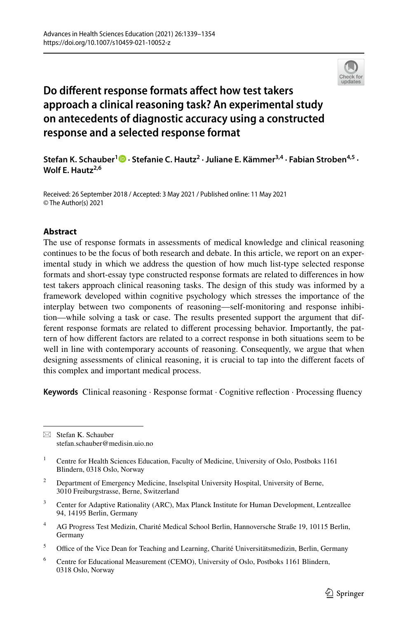

# **Do diferent response formats afect how test takers approach a clinical reasoning task? An experimental study on antecedents of diagnostic accuracy using a constructed response and a selected response format**

# **Stefan K. Schauber1  [·](http://orcid.org/0000-0002-1832-2732) Stefanie C. Hautz2 · Juliane E. Kämmer3,4 · Fabian Stroben4,5 · Wolf E. Hautz2,6**

Received: 26 September 2018 / Accepted: 3 May 2021 / Published online: 11 May 2021 © The Author(s) 2021

# **Abstract**

The use of response formats in assessments of medical knowledge and clinical reasoning continues to be the focus of both research and debate. In this article, we report on an experimental study in which we address the question of how much list-type selected response formats and short-essay type constructed response formats are related to diferences in how test takers approach clinical reasoning tasks. The design of this study was informed by a framework developed within cognitive psychology which stresses the importance of the interplay between two components of reasoning—self-monitoring and response inhibition—while solving a task or case. The results presented support the argument that different response formats are related to diferent processing behavior. Importantly, the pattern of how diferent factors are related to a correct response in both situations seem to be well in line with contemporary accounts of reasoning. Consequently, we argue that when designing assessments of clinical reasoning, it is crucial to tap into the diferent facets of this complex and important medical process.

**Keywords** Clinical reasoning · Response format · Cognitive refection · Processing fuency

 $\boxtimes$  Stefan K. Schauber stefan.schauber@medisin.uio.no

- <sup>2</sup> Department of Emergency Medicine, Inselspital University Hospital, University of Berne, 3010 Freiburgstrasse, Berne, Switzerland
- <sup>3</sup> Center for Adaptive Rationality (ARC), Max Planck Institute for Human Development, Lentzeallee 94, 14195 Berlin, Germany
- <sup>4</sup> AG Progress Test Medizin, Charité Medical School Berlin, Hannoversche Straße 19, 10115 Berlin, Germany
- <sup>5</sup> Office of the Vice Dean for Teaching and Learning, Charité Universitätsmedizin, Berlin, Germany
- <sup>6</sup> Centre for Educational Measurement (CEMO), University of Oslo, Postboks 1161 Blindern, 0318 Oslo, Norway

<sup>1</sup> Centre for Health Sciences Education, Faculty of Medicine, University of Oslo, Postboks 1161 Blindern, 0318 Oslo, Norway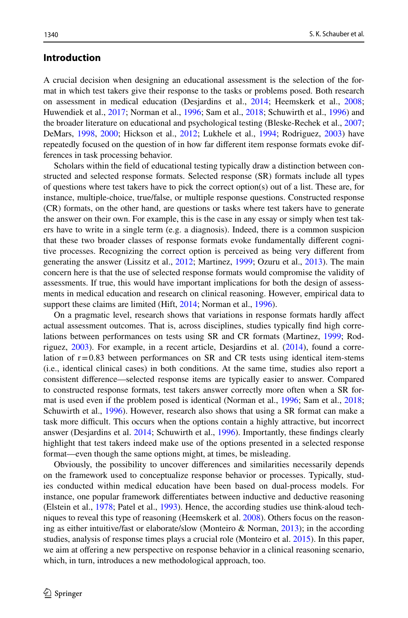# **Introduction**

A crucial decision when designing an educational assessment is the selection of the format in which test takers give their response to the tasks or problems posed. Both research on assessment in medical education (Desjardins et al., [2014](#page-12-0); Heemskerk et al., [2008;](#page-13-0) Huwendiek et al., [2017](#page-13-1); Norman et al., [1996;](#page-14-0) Sam et al., [2018;](#page-14-1) Schuwirth et al., [1996](#page-14-2)) and the broader literature on educational and psychological testing (Bleske-Rechek et al., [2007;](#page-12-1) DeMars, [1998](#page-12-2), [2000](#page-12-3); Hickson et al., [2012;](#page-13-2) Lukhele et al., [1994;](#page-14-3) Rodriguez, [2003\)](#page-14-4) have repeatedly focused on the question of in how far diferent item response formats evoke differences in task processing behavior.

Scholars within the feld of educational testing typically draw a distinction between constructed and selected response formats. Selected response (SR) formats include all types of questions where test takers have to pick the correct option(s) out of a list. These are, for instance, multiple-choice, true/false, or multiple response questions. Constructed response (CR) formats, on the other hand, are questions or tasks where test takers have to generate the answer on their own. For example, this is the case in any essay or simply when test takers have to write in a single term (e.g. a diagnosis). Indeed, there is a common suspicion that these two broader classes of response formats evoke fundamentally diferent cognitive processes. Recognizing the correct option is perceived as being very diferent from generating the answer (Lissitz et al., [2012](#page-13-3); Martinez, [1999](#page-14-5); Ozuru et al., [2013\)](#page-14-6). The main concern here is that the use of selected response formats would compromise the validity of assessments. If true, this would have important implications for both the design of assessments in medical education and research on clinical reasoning. However, empirical data to support these claims are limited (Hift, [2014;](#page-13-4) Norman et al., [1996](#page-14-0)).

On a pragmatic level, research shows that variations in response formats hardly afect actual assessment outcomes. That is, across disciplines, studies typically fnd high correlations between performances on tests using SR and CR formats (Martinez, [1999;](#page-14-5) Rodriguez, [2003\)](#page-14-4). For example, in a recent article, Desjardins et al. ([2014\)](#page-12-0), found a correlation of  $r=0.83$  between performances on SR and CR tests using identical item-stems (i.e., identical clinical cases) in both conditions. At the same time, studies also report a consistent diference—selected response items are typically easier to answer. Compared to constructed response formats, test takers answer correctly more often when a SR format is used even if the problem posed is identical (Norman et al., [1996;](#page-14-0) Sam et al., [2018;](#page-14-1) Schuwirth et al., [1996](#page-14-2)). However, research also shows that using a SR format can make a task more difcult. This occurs when the options contain a highly attractive, but incorrect answer (Desjardins et al. [2014](#page-12-0); Schuwirth et al., [1996](#page-14-2)). Importantly, these fndings clearly highlight that test takers indeed make use of the options presented in a selected response format—even though the same options might, at times, be misleading.

Obviously, the possibility to uncover diferences and similarities necessarily depends on the framework used to conceptualize response behavior or processes. Typically, studies conducted within medical education have been based on dual-process models. For instance, one popular framework diferentiates between inductive and deductive reasoning (Elstein et al., [1978;](#page-13-5) Patel et al., [1993](#page-14-7)). Hence, the according studies use think-aloud techniques to reveal this type of reasoning (Heemskerk et al. [2008\)](#page-13-0). Others focus on the reasoning as either intuitive/fast or elaborate/slow (Monteiro & Norman, [2013](#page-14-8)); in the according studies, analysis of response times plays a crucial role (Monteiro et al. [2015\)](#page-14-9). In this paper, we aim at ofering a new perspective on response behavior in a clinical reasoning scenario, which, in turn, introduces a new methodological approach, too.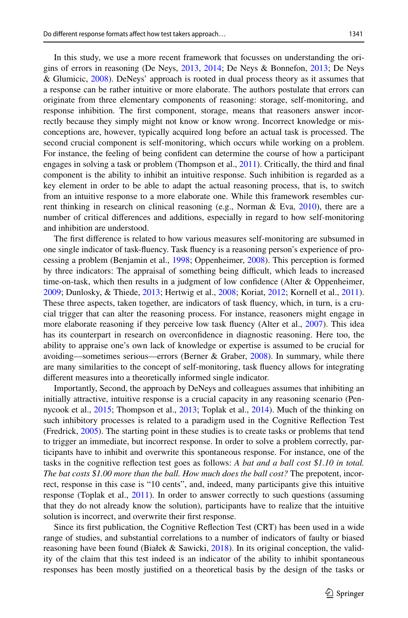In this study, we use a more recent framework that focusses on understanding the origins of errors in reasoning (De Neys, [2013](#page-12-4), [2014;](#page-12-5) De Neys & Bonnefon, [2013](#page-12-6); De Neys & Glumicic, [2008\)](#page-12-7). DeNeys' approach is rooted in dual process theory as it assumes that a response can be rather intuitive or more elaborate. The authors postulate that errors can originate from three elementary components of reasoning: storage, self-monitoring, and response inhibition. The frst component, storage, means that reasoners answer incorrectly because they simply might not know or know wrong. Incorrect knowledge or misconceptions are, however, typically acquired long before an actual task is processed. The second crucial component is self-monitoring, which occurs while working on a problem. For instance, the feeling of being confdent can determine the course of how a participant engages in solving a task or problem (Thompson et al., [2011\)](#page-14-10). Critically, the third and final component is the ability to inhibit an intuitive response. Such inhibition is regarded as a key element in order to be able to adapt the actual reasoning process, that is, to switch from an intuitive response to a more elaborate one. While this framework resembles current thinking in research on clinical reasoning (e.g., Norman & Eva,  $2010$ ), there are a number of critical diferences and additions, especially in regard to how self-monitoring and inhibition are understood.

The frst diference is related to how various measures self-monitoring are subsumed in one single indicator of task-fuency. Task fuency is a reasoning person's experience of processing a problem (Benjamin et al., [1998;](#page-12-8) Oppenheimer, [2008](#page-14-12)). This perception is formed by three indicators: The appraisal of something being difficult, which leads to increased time-on-task, which then results in a judgment of low confdence (Alter & Oppenheimer, [2009;](#page-12-9) Dunlosky, & Thiede, [2013;](#page-13-6) Hertwig et al., [2008](#page-13-7); Koriat, [2012;](#page-13-8) Kornell et al., [2011](#page-13-9)). These three aspects, taken together, are indicators of task fuency, which, in turn, is a crucial trigger that can alter the reasoning process. For instance, reasoners might engage in more elaborate reasoning if they perceive low task fluency (Alter et al., [2007\)](#page-12-10). This idea has its counterpart in research on overconfdence in diagnostic reasoning. Here too, the ability to appraise one's own lack of knowledge or expertise is assumed to be crucial for avoiding––sometimes serious––errors (Berner & Graber, [2008\)](#page-12-11). In summary, while there are many similarities to the concept of self-monitoring, task fuency allows for integrating diferent measures into a theoretically informed single indicator.

Importantly, Second, the approach by DeNeys and colleagues assumes that inhibiting an initially attractive, intuitive response is a crucial capacity in any reasoning scenario (Pennycook et al., [2015](#page-14-13); Thompson et al., [2013](#page-14-14); Toplak et al., [2014](#page-14-15)). Much of the thinking on such inhibitory processes is related to a paradigm used in the Cognitive Refection Test (Fredrick, [2005](#page-13-10)). The starting point in these studies is to create tasks or problems that tend to trigger an immediate, but incorrect response. In order to solve a problem correctly, participants have to inhibit and overwrite this spontaneous response. For instance, one of the tasks in the cognitive refection test goes as follows: *A bat and a ball cost \$1.10 in total. The bat costs \$1.00 more than the ball. How much does the ball cost?* The prepotent, incorrect, response in this case is "10 cents", and, indeed, many participants give this intuitive response (Toplak et al., [2011\)](#page-14-16). In order to answer correctly to such questions (assuming that they do not already know the solution), participants have to realize that the intuitive solution is incorrect, and overwrite their frst response.

Since its frst publication, the Cognitive Refection Test (CRT) has been used in a wide range of studies, and substantial correlations to a number of indicators of faulty or biased reasoning have been found (Białek & Sawicki, [2018\)](#page-12-12). In its original conception, the validity of the claim that this test indeed is an indicator of the ability to inhibit spontaneous responses has been mostly justifed on a theoretical basis by the design of the tasks or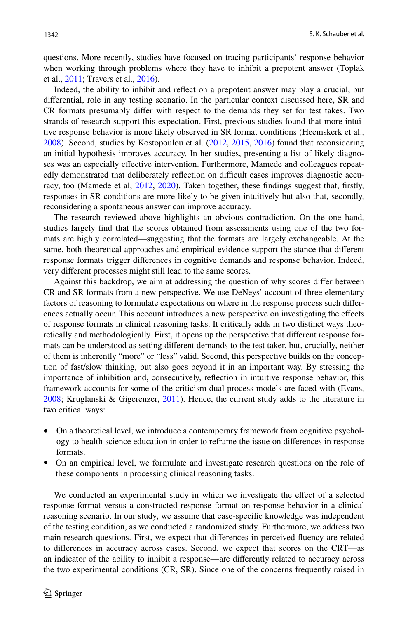questions. More recently, studies have focused on tracing participants' response behavior when working through problems where they have to inhibit a prepotent answer (Toplak et al., [2011;](#page-14-16) Travers et al., [2016\)](#page-15-0).

Indeed, the ability to inhibit and refect on a prepotent answer may play a crucial, but diferential, role in any testing scenario. In the particular context discussed here, SR and CR formats presumably difer with respect to the demands they set for test takes. Two strands of research support this expectation. First, previous studies found that more intuitive response behavior is more likely observed in SR format conditions (Heemskerk et al., [2008\)](#page-13-0). Second, studies by Kostopoulou et al. [\(2012](#page-13-11), [2015,](#page-13-12) [2016\)](#page-13-13) found that reconsidering an initial hypothesis improves accuracy. In her studies, presenting a list of likely diagnoses was an especially efective intervention. Furthermore, Mamede and colleagues repeatedly demonstrated that deliberately reflection on difficult cases improves diagnostic accu-racy, too (Mamede et al, [2012,](#page-14-17) [2020](#page-14-18)). Taken together, these findings suggest that, firstly, responses in SR conditions are more likely to be given intuitively but also that, secondly, reconsidering a spontaneous answer can improve accuracy.

The research reviewed above highlights an obvious contradiction. On the one hand, studies largely fnd that the scores obtained from assessments using one of the two formats are highly correlated—suggesting that the formats are largely exchangeable. At the same, both theoretical approaches and empirical evidence support the stance that diferent response formats trigger diferences in cognitive demands and response behavior. Indeed, very diferent processes might still lead to the same scores.

Against this backdrop, we aim at addressing the question of why scores difer between CR and SR formats from a new perspective. We use DeNeys' account of three elementary factors of reasoning to formulate expectations on where in the response process such diferences actually occur. This account introduces a new perspective on investigating the efects of response formats in clinical reasoning tasks. It critically adds in two distinct ways theoretically and methodologically. First, it opens up the perspective that diferent response formats can be understood as setting diferent demands to the test taker, but, crucially, neither of them is inherently "more" or "less" valid. Second, this perspective builds on the conception of fast/slow thinking, but also goes beyond it in an important way. By stressing the importance of inhibition and, consecutively, refection in intuitive response behavior, this framework accounts for some of the criticism dual process models are faced with (Evans, [2008;](#page-13-14) Kruglanski & Gigerenzer, [2011](#page-13-15)). Hence, the current study adds to the literature in two critical ways:

- On a theoretical level, we introduce a contemporary framework from cognitive psychology to health science education in order to reframe the issue on diferences in response formats.
- On an empirical level, we formulate and investigate research questions on the role of these components in processing clinical reasoning tasks.

We conducted an experimental study in which we investigate the efect of a selected response format versus a constructed response format on response behavior in a clinical reasoning scenario. In our study, we assume that case-specifc knowledge was independent of the testing condition, as we conducted a randomized study. Furthermore, we address two main research questions. First, we expect that diferences in perceived fuency are related to diferences in accuracy across cases. Second, we expect that scores on the CRT—as an indicator of the ability to inhibit a response—are diferently related to accuracy across the two experimental conditions (CR, SR). Since one of the concerns frequently raised in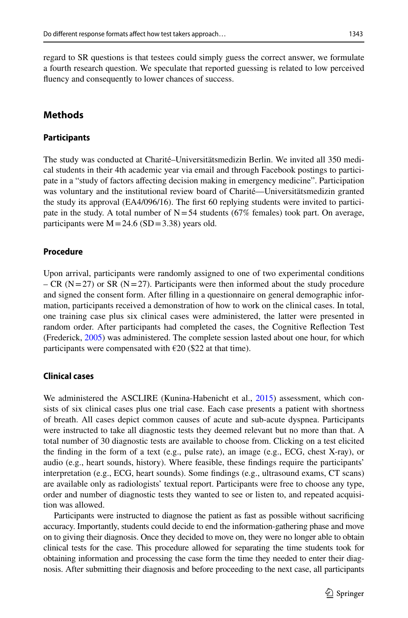regard to SR questions is that testees could simply guess the correct answer, we formulate a fourth research question. We speculate that reported guessing is related to low perceived fuency and consequently to lower chances of success.

# **Methods**

## **Participants**

The study was conducted at Charité–Universitätsmedizin Berlin. We invited all 350 medical students in their 4th academic year via email and through Facebook postings to participate in a "study of factors afecting decision making in emergency medicine". Participation was voluntary and the institutional review board of Charité—Universitätsmedizin granted the study its approval (EA4/096/16). The frst 60 replying students were invited to participate in the study. A total number of  $N=54$  students (67% females) took part. On average, participants were  $M = 24.6$  (SD = 3.38) years old.

# **Procedure**

Upon arrival, participants were randomly assigned to one of two experimental conditions – CR ( $N=27$ ) or SR ( $N=27$ ). Participants were then informed about the study procedure and signed the consent form. After flling in a questionnaire on general demographic information, participants received a demonstration of how to work on the clinical cases. In total, one training case plus six clinical cases were administered, the latter were presented in random order. After participants had completed the cases, the Cognitive Refection Test (Frederick, [2005](#page-13-10)) was administered. The complete session lasted about one hour, for which participants were compensated with  $\epsilon$ 20 (\$22 at that time).

## **Clinical cases**

We administered the ASCLIRE (Kunina-Habenicht et al., [2015](#page-13-16)) assessment, which consists of six clinical cases plus one trial case. Each case presents a patient with shortness of breath. All cases depict common causes of acute and sub-acute dyspnea. Participants were instructed to take all diagnostic tests they deemed relevant but no more than that. A total number of 30 diagnostic tests are available to choose from. Clicking on a test elicited the fnding in the form of a text (e.g., pulse rate), an image (e.g., ECG, chest X-ray), or audio (e.g., heart sounds, history). Where feasible, these fndings require the participants' interpretation (e.g., ECG, heart sounds). Some fndings (e.g., ultrasound exams, CT scans) are available only as radiologists' textual report. Participants were free to choose any type, order and number of diagnostic tests they wanted to see or listen to, and repeated acquisition was allowed.

Participants were instructed to diagnose the patient as fast as possible without sacrifcing accuracy. Importantly, students could decide to end the information-gathering phase and move on to giving their diagnosis. Once they decided to move on, they were no longer able to obtain clinical tests for the case. This procedure allowed for separating the time students took for obtaining information and processing the case form the time they needed to enter their diagnosis. After submitting their diagnosis and before proceeding to the next case, all participants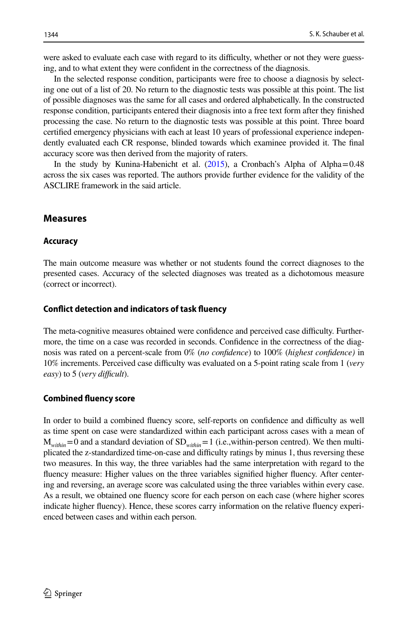were asked to evaluate each case with regard to its difficulty, whether or not they were guessing, and to what extent they were confdent in the correctness of the diagnosis.

In the selected response condition, participants were free to choose a diagnosis by selecting one out of a list of 20. No return to the diagnostic tests was possible at this point. The list of possible diagnoses was the same for all cases and ordered alphabetically. In the constructed response condition, participants entered their diagnosis into a free text form after they fnished processing the case. No return to the diagnostic tests was possible at this point. Three board certifed emergency physicians with each at least 10 years of professional experience independently evaluated each CR response, blinded towards which examinee provided it. The fnal accuracy score was then derived from the majority of raters.

In the study by Kunina-Habenicht et al.  $(2015)$ , a Cronbach's Alpha of Alpha=0.48 across the six cases was reported. The authors provide further evidence for the validity of the ASCLIRE framework in the said article.

# **Measures**

#### **Accuracy**

The main outcome measure was whether or not students found the correct diagnoses to the presented cases. Accuracy of the selected diagnoses was treated as a dichotomous measure (correct or incorrect).

#### **Confict detection and indicators of task fuency**

The meta-cognitive measures obtained were confidence and perceived case difficulty. Furthermore, the time on a case was recorded in seconds. Confdence in the correctness of the diagnosis was rated on a percent-scale from 0% (*no confdence*) to 100% (*highest confdence)* in 10% increments. Perceived case difculty was evaluated on a 5-point rating scale from 1 (*very easy*) to 5 (*very difficult*).

# **Combined fuency score**

In order to build a combined fuency score, self-reports on confdence and difculty as well as time spent on case were standardized within each participant across cases with a mean of  $M_{within}=0$  and a standard deviation of  $SD_{within}=1$  (i.e.,within-person centred). We then multiplicated the z-standardized time-on-case and difculty ratings by minus 1, thus reversing these two measures. In this way, the three variables had the same interpretation with regard to the fuency measure: Higher values on the three variables signifed higher fuency. After centering and reversing, an average score was calculated using the three variables within every case. As a result, we obtained one fuency score for each person on each case (where higher scores indicate higher fuency). Hence, these scores carry information on the relative fuency experienced between cases and within each person.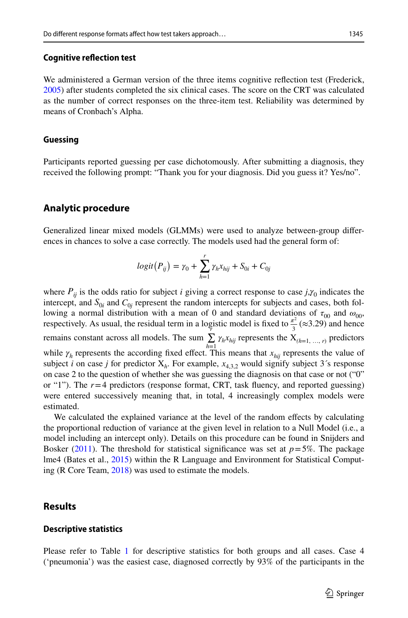We administered a German version of the three items cognitive refection test (Frederick, [2005\)](#page-13-10) after students completed the six clinical cases. The score on the CRT was calculated as the number of correct responses on the three-item test. Reliability was determined by means of Cronbach's Alpha.

#### **Guessing**

Participants reported guessing per case dichotomously. After submitting a diagnosis, they received the following prompt: "Thank you for your diagnosis. Did you guess it? Yes/no".

# **Analytic procedure**

Generalized linear mixed models (GLMMs) were used to analyze between-group diferences in chances to solve a case correctly. The models used had the general form of:

$$
logit(P_{ij}) = \gamma_0 + \sum_{h=1}^{r} \gamma_h x_{hij} + S_{0i} + C_{0j}
$$

where  $P_{ii}$  is the odds ratio for subject *i* giving a correct response to case  $j, \gamma_0$  indicates the intercept, and  $S_{0i}$  and  $C_{0j}$  represent the random intercepts for subjects and cases, both following a normal distribution with a mean of 0 and standard deviations of  $\tau_{00}$  and  $\omega_{00}$ , respectively. As usual, the residual term in a logistic model is fixed to  $\frac{\pi^2}{3}$  ( $\approx$ 3.29) and hence remains constant across all models. The sum  $\sum_{i=1}^{n} \gamma_{h}x_{hij}$  represents the  $X_{(h=1, ..., r)}$  predictors while  $\gamma_h$  represents the according fixed effect. This means that  $x_{hij}$  represents the value of subject *i* on case *j* for predictor  $X_h$ . For example,  $x_{4,3}$ , would signify subject 3's response on case 2 to the question of whether she was guessing the diagnosis on that case or not ("0" or "1"). The *r*=4 predictors (response format, CRT, task fuency, and reported guessing) were entered successively meaning that, in total, 4 increasingly complex models were estimated.

We calculated the explained variance at the level of the random efects by calculating the proportional reduction of variance at the given level in relation to a Null Model (i.e., a model including an intercept only). Details on this procedure can be found in Snijders and Bosker [\(2011](#page-14-19)). The threshold for statistical significance was set at  $p=5%$ . The package lme4 (Bates et al., [2015\)](#page-12-13) within the R Language and Environment for Statistical Computing (R Core Team, [2018\)](#page-14-20) was used to estimate the models.

# **Results**

#### **Descriptive statistics**

Please refer to Table [1](#page-7-0) for descriptive statistics for both groups and all cases. Case 4 ('pneumonia') was the easiest case, diagnosed correctly by 93% of the participants in the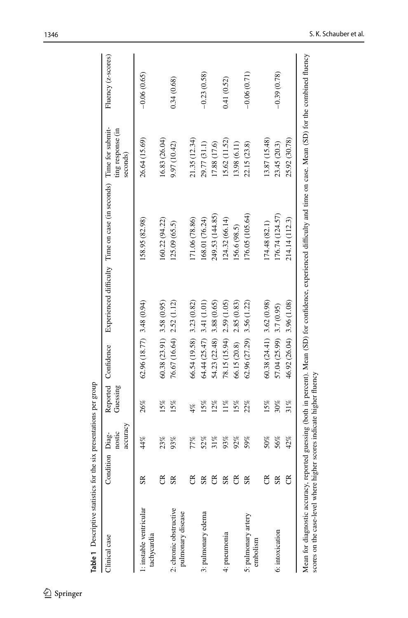| Clinical case                                                        | Condition Diag- | accuracy<br>nostic | Guessing | Reported Confidence          |             | Experienced difficulty Time on case (in seconds) Time for submit-                                                                                                        | ting response (in<br>seconds) | Fluency (z-scores) |
|----------------------------------------------------------------------|-----------------|--------------------|----------|------------------------------|-------------|--------------------------------------------------------------------------------------------------------------------------------------------------------------------------|-------------------------------|--------------------|
| 1: instable ventricular<br>tachycardia                               | $\mathbb{R}$    | 44%                | 26%      | $62.96(18.77)$ 3.48 $(0.94)$ |             | 158.95 (82.98)                                                                                                                                                           | 26.64 (15.69)                 | $-0.06(0.65)$      |
|                                                                      | g               | 23%                | 15%      | $60.38(23.91)$ 3.58 $(0.95)$ |             | 160.22 (94.22)                                                                                                                                                           | 16.83 (26.04)                 |                    |
| 2: chronic obstructive<br>pulmonary disease                          | S <sub>R</sub>  | 93%                | 15%      | 76.67 (16.64) 2.52 (1.12)    |             | 125.09 (65.5)                                                                                                                                                            | 9.97 (10.42)                  | 0.34(0.68)         |
|                                                                      | g               | 77%                | 4%       | $66.54(19.58)$ 3.23 $(0.82)$ |             | 171.06 (78.86)                                                                                                                                                           | 21.35 (12.34)                 |                    |
| 3: pulmonary edema                                                   | $S_{R}$         | 52%                | 15%      | $64.44(25.47)$ 3.41 (1.01)   |             | (68.01 (76.24)                                                                                                                                                           | 29.77 (31.1)                  | $-0.23(0.58)$      |
|                                                                      | g               | 31%                | 12%      | 54.23 (22.48)                | 3.88 (0.65) | 249.53 (144.85)                                                                                                                                                          | 17.88 (17.6)                  |                    |
| 4: pneumonia                                                         | $S_{R}$         | 93%                | $11\%$   | 78.15 (15.94)                | 2.59 (1.05) | 124.32 (66.14)                                                                                                                                                           | 15.62 (11.52)                 | 0.41(0.52)         |
|                                                                      | g               | 92%                | 15%      | 66.15 (20.8)                 | 2.85(0.83)  | 156.6 (98.5)                                                                                                                                                             | 13.98 (6.11)                  |                    |
| 5: pulmonary artery<br>embolism                                      | S <sub>R</sub>  | 59%                | 22%      | 62.96 (27.29)                | 3.56(1.22)  | 176.05 (105.64)                                                                                                                                                          | 22.15 (23.8)                  | $-0.06(0.71)$      |
|                                                                      | ජි              | 50%                | 15%      | $60.38(24.41)$ 3.62 $(0.98)$ |             | 174.48 (82.1)                                                                                                                                                            | 13.87 (15.48)                 |                    |
| 6: intoxication                                                      | S <sub>R</sub>  | 56%                | 30%      | $57.04(25.99)$ 3.7 (0.95)    |             | 176.74 (124.57)                                                                                                                                                          | 23.45 (20.3)                  | $-0.39(0.78)$      |
|                                                                      | g               | 42%                | $31\%$   | 46.92 (26.04)                | 3.96(1.08)  | 214.14 (112.3)                                                                                                                                                           | 25.92 (30.78)                 |                    |
| scores on the case-level where higher scores indicate higher fluency |                 |                    |          |                              |             | Mean for diagnostic accuracy, reported guessing (both in percent). Mean (SD) for confidence, experienced difficulty and time on case. Mean (SD) for the combined fluency |                               |                    |

<span id="page-7-0"></span>Table 1 Descriptive statistics for the six presentations per group **Table 1** Descriptive statistics for the six presentations per group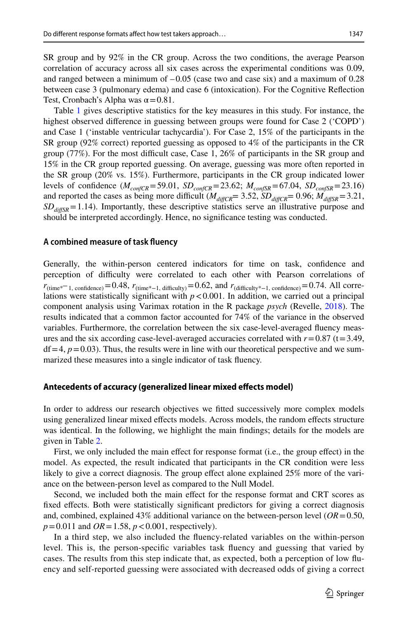SR group and by 92% in the CR group. Across the two conditions, the average Pearson correlation of accuracy across all six cases across the experimental conditions was 0.09, and ranged between a minimum of  $-0.05$  (case two and case six) and a maximum of 0.28 between case 3 (pulmonary edema) and case 6 (intoxication). For the Cognitive Refection Test, Cronbach's Alpha was  $\alpha$  = 0.81.

Table [1](#page-7-0) gives descriptive statistics for the key measures in this study. For instance, the highest observed diference in guessing between groups were found for Case 2 ('COPD') and Case 1 ('instable ventricular tachycardia'). For Case 2, 15% of the participants in the SR group (92% correct) reported guessing as opposed to 4% of the participants in the CR group (77%). For the most difficult case, Case 1, 26% of participants in the SR group and 15% in the CR group reported guessing. On average, guessing was more often reported in the SR group (20% vs. 15%). Furthermore, participants in the CR group indicated lower levels of confidence  $(M_{contCR} = 59.01, SD_{contCR} = 23.62; M_{contSR} = 67.04, SD_{contSR} = 23.16)$ and reported the cases as being more difficult ( $M_{\text{diffCR}}$ = 3.52,  $SD_{\text{diffCR}}$ = 0.96;  $M_{\text{diffSR}}$ = 3.21,  $SD<sub>diffSR</sub> = 1.14$ ). Importantly, these descriptive statistics serve an illustrative purpose and should be interpreted accordingly. Hence, no signifcance testing was conducted.

#### **A combined measure of task fuency**

Generally, the within-person centered indicators for time on task, confdence and perception of difculty were correlated to each other with Pearson correlations of  $r_{\text{(time*} = 1, \text{ confidence)}}=0.48$ ,  $r_{\text{(time*} = 1, \text{ difficulty})}=0.62$ , and  $r_{\text{(difficulty*} = 1, \text{ confidence)}}=0.74$ . All correlations were statistically significant with  $p < 0.001$ . In addition, we carried out a principal component analysis using Varimax rotation in the R package *psych* (Revelle, [2018\)](#page-14-21). The results indicated that a common factor accounted for 74% of the variance in the observed variables. Furthermore, the correlation between the six case-level-averaged fuency measures and the six according case-level-averaged accuracies correlated with  $r=0.87$  (t=3.49,  $df = 4$ ,  $p = 0.03$ ). Thus, the results were in line with our theoretical perspective and we summarized these measures into a single indicator of task fuency.

#### **Antecedents of accuracy (generalized linear mixed efects model)**

In order to address our research objectives we ftted successively more complex models using generalized linear mixed efects models. Across models, the random efects structure was identical. In the following, we highlight the main fndings; details for the models are given in Table [2](#page-9-0).

First, we only included the main efect for response format (i.e., the group efect) in the model. As expected, the result indicated that participants in the CR condition were less likely to give a correct diagnosis. The group effect alone explained 25% more of the variance on the between-person level as compared to the Null Model.

Second, we included both the main efect for the response format and CRT scores as fixed effects. Both were statistically significant predictors for giving a correct diagnosis and, combined, explained 43% additional variance on the between-person level (*OR*=0.50, *p*=0.011 and *OR*=1.58, *p*<0.001, respectively).

In a third step, we also included the fuency-related variables on the within-person level. This is, the person-specifc variables task fuency and guessing that varied by cases. The results from this step indicate that, as expected, both a perception of low fuency and self-reported guessing were associated with decreased odds of giving a correct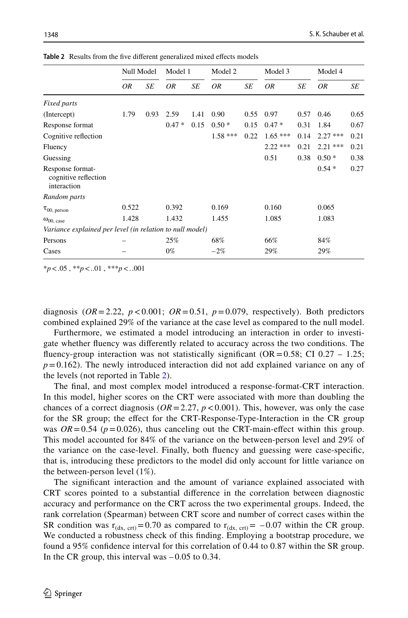|                                                          | Null Model |      | Model 1 |      | Model 2   |      | Model 3   |      | Model 4   |      |
|----------------------------------------------------------|------------|------|---------|------|-----------|------|-----------|------|-----------|------|
|                                                          | ΟR         | SE   | 0R      | SE   | 0R        | SE   | ΟR        | SE   | ΟR        | SE   |
| Fixed parts                                              |            |      |         |      |           |      |           |      |           |      |
| (Intercept)                                              | 1.79       | 0.93 | 2.59    | 1.41 | 0.90      | 0.55 | 0.97      | 0.57 | 0.46      | 0.65 |
| Response format                                          |            |      | $0.47*$ | 0.15 | $0.50*$   | 0.15 | $0.47*$   | 0.31 | 1.84      | 0.67 |
| Cognitive reflection                                     |            |      |         |      | $1.58***$ | 0.22 | $1.65***$ | 0.14 | $2.27***$ | 0.21 |
| Fluency                                                  |            |      |         |      |           |      | $2.22***$ | 0.21 | $2.21***$ | 0.21 |
| Guessing                                                 |            |      |         |      |           |      | 0.51      | 0.38 | $0.50*$   | 0.38 |
| Response format-<br>cognitive reflection<br>interaction  |            |      |         |      |           |      |           |      | $0.54*$   | 0.27 |
| Random parts                                             |            |      |         |      |           |      |           |      |           |      |
| $\tau_{00, \text{ person}}$                              | 0.522      |      | 0.392   |      | 0.169     |      | 0.160     |      | 0.065     |      |
| $\omega_{00, \text{ case}}$                              | 1.428      |      | 1.432   |      | 1.455     |      | 1.085     |      | 1.083     |      |
| Variance explained per level (in relation to null model) |            |      |         |      |           |      |           |      |           |      |
| Persons                                                  |            |      | 25%     |      | 68%       |      | 66%       |      | 84%       |      |
| Cases                                                    |            |      | $0\%$   |      | $-2%$     |      | 29%       |      | 29%       |      |

<span id="page-9-0"></span>Table 2 Results from the five different generalized mixed effects models

\**p*<.05 , \*\**p*<..01 , \*\*\**p*<..001

diagnosis ( $OR = 2.22$ ,  $p < 0.001$ ;  $OR = 0.51$ ,  $p = 0.079$ , respectively). Both predictors combined explained 29% of the variance at the case level as compared to the null model.

Furthermore, we estimated a model introducing an interaction in order to investigate whether fuency was diferently related to accuracy across the two conditions. The fluency-group interaction was not statistically significant ( $OR = 0.58$ ; CI 0.27 – 1.25;  $p=0.162$ ). The newly introduced interaction did not add explained variance on any of the levels (not reported in Table [2\)](#page-9-0).

The fnal, and most complex model introduced a response-format-CRT interaction. In this model, higher scores on the CRT were associated with more than doubling the chances of a correct diagnosis ( $OR = 2.27$ ,  $p < 0.001$ ). This, however, was only the case for the SR group; the efect for the CRT-Response-Type-Interaction in the CR group was  $OR = 0.54$  ( $p = 0.026$ ), thus canceling out the CRT-main-effect within this group. This model accounted for 84% of the variance on the between-person level and 29% of the variance on the case-level. Finally, both fuency and guessing were case-specifc, that is, introducing these predictors to the model did only account for little variance on the between-person level (1%).

The signifcant interaction and the amount of variance explained associated with CRT scores pointed to a substantial diference in the correlation between diagnostic accuracy and performance on the CRT across the two experimental groups. Indeed, the rank correlation (Spearman) between CRT score and number of correct cases within the SR condition was  $r_{(dx, \text{crt})}=0.70$  as compared to  $r_{(dx, \text{crt})}=-0.07$  within the CR group. We conducted a robustness check of this fnding. Employing a bootstrap procedure, we found a 95% confdence interval for this correlation of 0.44 to 0.87 within the SR group. In the CR group, this interval was  $-0.05$  to 0.34.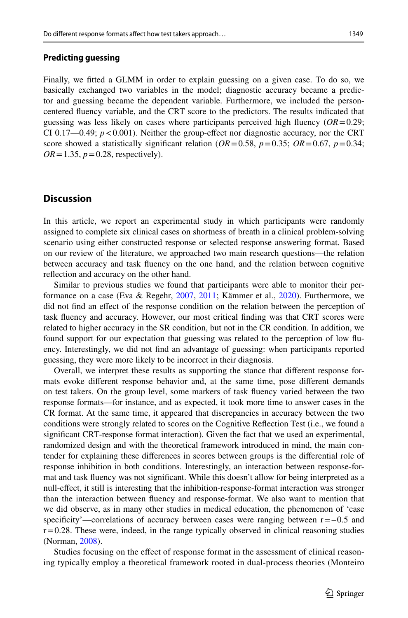## **Predicting guessing**

Finally, we ftted a GLMM in order to explain guessing on a given case. To do so, we basically exchanged two variables in the model; diagnostic accuracy became a predictor and guessing became the dependent variable. Furthermore, we included the personcentered fuency variable, and the CRT score to the predictors. The results indicated that guessing was less likely on cases where participants perceived high fuency (*OR*=0.29; CI 0.17—0.49;  $p < 0.001$ ). Neither the group-effect nor diagnostic accuracy, nor the CRT score showed a statistically significant relation  $OR = 0.58$ ,  $p = 0.35$ ;  $OR = 0.67$ ,  $p = 0.34$ ;  $OR = 1.35$ ,  $p = 0.28$ , respectively).

# **Discussion**

In this article, we report an experimental study in which participants were randomly assigned to complete six clinical cases on shortness of breath in a clinical problem-solving scenario using either constructed response or selected response answering format. Based on our review of the literature, we approached two main research questions—the relation between accuracy and task fuency on the one hand, and the relation between cognitive refection and accuracy on the other hand.

Similar to previous studies we found that participants were able to monitor their performance on a case (Eva & Regehr, [2007,](#page-13-17) [2011](#page-13-18); Kämmer et al., [2020](#page-13-19)). Furthermore, we did not fnd an efect of the response condition on the relation between the perception of task fuency and accuracy. However, our most critical fnding was that CRT scores were related to higher accuracy in the SR condition, but not in the CR condition. In addition, we found support for our expectation that guessing was related to the perception of low fuency. Interestingly, we did not fnd an advantage of guessing: when participants reported guessing, they were more likely to be incorrect in their diagnosis.

Overall, we interpret these results as supporting the stance that diferent response formats evoke diferent response behavior and, at the same time, pose diferent demands on test takers. On the group level, some markers of task fuency varied between the two response formats—for instance, and as expected, it took more time to answer cases in the CR format. At the same time, it appeared that discrepancies in accuracy between the two conditions were strongly related to scores on the Cognitive Refection Test (i.e., we found a signifcant CRT-response format interaction). Given the fact that we used an experimental, randomized design and with the theoretical framework introduced in mind, the main contender for explaining these diferences in scores between groups is the diferential role of response inhibition in both conditions. Interestingly, an interaction between response-format and task fuency was not signifcant. While this doesn't allow for being interpreted as a null-efect, it still is interesting that the inhibition-response-format interaction was stronger than the interaction between fuency and response-format. We also want to mention that we did observe, as in many other studies in medical education, the phenomenon of 'case specificity'—correlations of accuracy between cases were ranging between  $r = -0.5$  and  $r=0.28$ . These were, indeed, in the range typically observed in clinical reasoning studies (Norman, [2008\)](#page-14-22).

Studies focusing on the efect of response format in the assessment of clinical reasoning typically employ a theoretical framework rooted in dual-process theories (Monteiro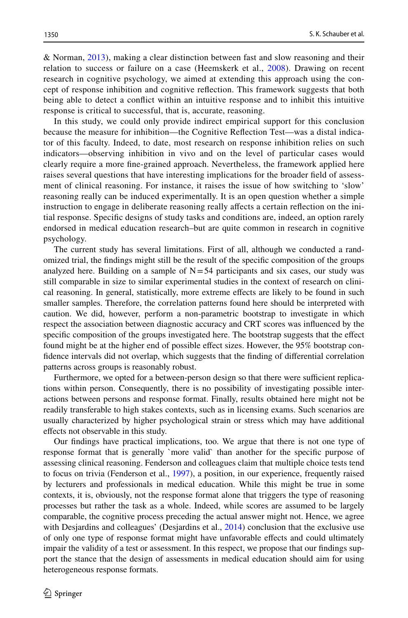& Norman, [2013\)](#page-14-8), making a clear distinction between fast and slow reasoning and their relation to success or failure on a case (Heemskerk et al., [2008\)](#page-13-0). Drawing on recent research in cognitive psychology, we aimed at extending this approach using the concept of response inhibition and cognitive refection. This framework suggests that both being able to detect a confict within an intuitive response and to inhibit this intuitive response is critical to successful, that is, accurate, reasoning.

In this study, we could only provide indirect empirical support for this conclusion because the measure for inhibition—the Cognitive Refection Test—was a distal indicator of this faculty. Indeed, to date, most research on response inhibition relies on such indicators—observing inhibition in vivo and on the level of particular cases would clearly require a more fne-grained approach. Nevertheless, the framework applied here raises several questions that have interesting implications for the broader feld of assessment of clinical reasoning. For instance, it raises the issue of how switching to 'slow' reasoning really can be induced experimentally. It is an open question whether a simple instruction to engage in deliberate reasoning really afects a certain refection on the initial response. Specifc designs of study tasks and conditions are, indeed, an option rarely endorsed in medical education research–but are quite common in research in cognitive psychology.

The current study has several limitations. First of all, although we conducted a randomized trial, the fndings might still be the result of the specifc composition of the groups analyzed here. Building on a sample of  $N=54$  participants and six cases, our study was still comparable in size to similar experimental studies in the context of research on clinical reasoning. In general, statistically, more extreme efects are likely to be found in such smaller samples. Therefore, the correlation patterns found here should be interpreted with caution. We did, however, perform a non-parametric bootstrap to investigate in which respect the association between diagnostic accuracy and CRT scores was infuenced by the specific composition of the groups investigated here. The bootstrap suggests that the effect found might be at the higher end of possible efect sizes. However, the 95% bootstrap confdence intervals did not overlap, which suggests that the fnding of diferential correlation patterns across groups is reasonably robust.

Furthermore, we opted for a between-person design so that there were sufficient replications within person. Consequently, there is no possibility of investigating possible interactions between persons and response format. Finally, results obtained here might not be readily transferable to high stakes contexts, such as in licensing exams. Such scenarios are usually characterized by higher psychological strain or stress which may have additional efects not observable in this study.

Our fndings have practical implications, too. We argue that there is not one type of response format that is generally `more valid` than another for the specifc purpose of assessing clinical reasoning. Fenderson and colleagues claim that multiple choice tests tend to focus on trivia (Fenderson et al., [1997\)](#page-13-20), a position, in our experience, frequently raised by lecturers and professionals in medical education. While this might be true in some contexts, it is, obviously, not the response format alone that triggers the type of reasoning processes but rather the task as a whole. Indeed, while scores are assumed to be largely comparable, the cognitive process preceding the actual answer might not. Hence, we agree with Desjardins and colleagues' (Desjardins et al., [2014\)](#page-12-0) conclusion that the exclusive use of only one type of response format might have unfavorable efects and could ultimately impair the validity of a test or assessment. In this respect, we propose that our fndings support the stance that the design of assessments in medical education should aim for using heterogeneous response formats.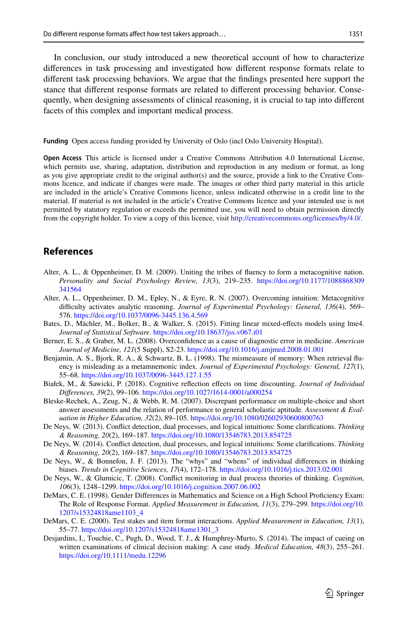In conclusion, our study introduced a new theoretical account of how to characterize diferences in task processing and investigated how diferent response formats relate to diferent task processing behaviors. We argue that the fndings presented here support the stance that diferent response formats are related to diferent processing behavior. Consequently, when designing assessments of clinical reasoning, it is crucial to tap into diferent facets of this complex and important medical process.

**Funding** Open access funding provided by University of Oslo (incl Oslo University Hospital).

**Open Access** This article is licensed under a Creative Commons Attribution 4.0 International License, which permits use, sharing, adaptation, distribution and reproduction in any medium or format, as long as you give appropriate credit to the original author(s) and the source, provide a link to the Creative Commons licence, and indicate if changes were made. The images or other third party material in this article are included in the article's Creative Commons licence, unless indicated otherwise in a credit line to the material. If material is not included in the article's Creative Commons licence and your intended use is not permitted by statutory regulation or exceeds the permitted use, you will need to obtain permission directly from the copyright holder. To view a copy of this licence, visit [http://creativecommons.org/licenses/by/4.0/.](http://creativecommons.org/licenses/by/4.0/)

# **References**

- <span id="page-12-9"></span>Alter, A. L., & Oppenheimer, D. M. (2009). Uniting the tribes of fuency to form a metacognitive nation. *Personality and Social Psychology Review, 13*(3), 219–235. [https://doi.org/10.1177/1088868309](https://doi.org/10.1177/1088868309341564) [341564](https://doi.org/10.1177/1088868309341564)
- <span id="page-12-10"></span>Alter, A. L., Oppenheimer, D. M., Epley, N., & Eyre, R. N. (2007). Overcoming intuition: Metacognitive difculty activates analytic reasoning. *Journal of Experimental Psychology: General, 136*(4), 569– 576. <https://doi.org/10.1037/0096-3445.136.4.569>
- <span id="page-12-13"></span>Bates, D., Mächler, M., Bolker, B., & Walker, S. (2015). Fitting linear mixed-efects models using lme4. *Journal of Statistical Software*.<https://doi.org/10.18637/jss.v067.i01>
- <span id="page-12-11"></span>Berner, E. S., & Graber, M. L. (2008). Overconfdence as a cause of diagnostic error in medicine. *American Journal of Medicine, 121*(5 Suppl), S2-23. <https://doi.org/10.1016/j.amjmed.2008.01.001>
- <span id="page-12-8"></span>Benjamin, A. S., Bjork, R. A., & Schwartz, B. L. (1998). The mismeasure of memory: When retrieval fuency is misleading as a metamnemonic index. *Journal of Experimental Psychology: General, 127*(1), 55–68. <https://doi.org/10.1037/0096-3445.127.1.55>
- <span id="page-12-12"></span>Białek, M., & Sawicki, P. (2018). Cognitive refection efects on time discounting. *Journal of Individual Diferences, 39*(2), 99–106. <https://doi.org/10.1027/1614-0001/a000254>
- <span id="page-12-1"></span>Bleske-Rechek, A., Zeug, N., & Webb, R. M. (2007). Discrepant performance on multiple-choice and short answer assessments and the relation of performance to general scholastic aptitude. *Assessment & Evaluation in Higher Education, 32*(2), 89–105.<https://doi.org/10.1080/02602930600800763>
- <span id="page-12-4"></span>De Neys, W. (2013). Confict detection, dual processes, and logical intuitions: Some clarifcations. *Thinking & Reasoning, 20*(2), 169–187. <https://doi.org/10.1080/13546783.2013.854725>
- <span id="page-12-5"></span>De Neys, W. (2014). Confict detection, dual processes, and logical intuitions: Some clarifcations. *Thinking & Reasoning, 20*(2), 169–187. <https://doi.org/10.1080/13546783.2013.854725>
- <span id="page-12-6"></span>De Neys, W., & Bonnefon, J. F. (2013). The "whys" and "whens" of individual diferences in thinking biases. *Trends in Cognitive Sciences, 17*(4), 172–178. <https://doi.org/10.1016/j.tics.2013.02.001>
- <span id="page-12-7"></span>De Neys, W., & Glumicic, T. (2008). Confict monitoring in dual process theories of thinking. *Cognition, 106*(3), 1248–1299.<https://doi.org/10.1016/j.cognition.2007.06.002>
- <span id="page-12-2"></span>DeMars, C. E. (1998). Gender Diferences in Mathematics and Science on a High School Profciency Exam: The Role of Response Format. *Applied Measurement in Education, 11*(3), 279–299. [https://doi.org/10.](https://doi.org/10.1207/s15324818ame1103_4) [1207/s15324818ame1103\\_4](https://doi.org/10.1207/s15324818ame1103_4)
- <span id="page-12-3"></span>DeMars, C. E. (2000). Test stakes and item format interactions. *Applied Measurement in Education, 13*(1), 55–77. [https://doi.org/10.1207/s15324818ame1301\\_3](https://doi.org/10.1207/s15324818ame1301_3)
- <span id="page-12-0"></span>Desjardins, I., Touchie, C., Pugh, D., Wood, T. J., & Humphrey-Murto, S. (2014). The impact of cueing on written examinations of clinical decision making: A case study. *Medical Education, 48*(3), 255–261. <https://doi.org/10.1111/medu.12296>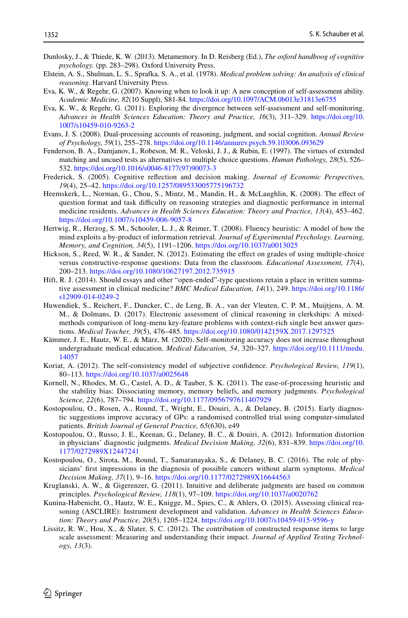- <span id="page-13-6"></span>Dunlosky, J., & Thiede, K. W. (2013). Metamemory. In D. Reisberg (Ed.), *The oxford handboog of cognitive psychology.* (pp. 283–298). Oxford University Press.
- <span id="page-13-5"></span>Elstein, A. S., Shulman, L. S., Sprafka, S. A., et al. (1978). *Medical problem solving: An analysis of clinical reasoning*. Harvard University Press.
- <span id="page-13-17"></span>Eva, K. W., & Regehr, G. (2007). Knowing when to look it up: A new conception of self-assessment ability. *Academic Medicine, 82*(10 Suppl), S81-84.<https://doi.org/10.1097/ACM.0b013e31813e6755>
- <span id="page-13-18"></span>Eva, K. W., & Regehr, G. (2011). Exploring the divergence between self-assessment and self-monitoring. *Advances in Health Sciences Education: Theory and Practice, 16*(3), 311–329. [https://doi.org/10.](https://doi.org/10.1007/s10459-010-9263-2) [1007/s10459-010-9263-2](https://doi.org/10.1007/s10459-010-9263-2)
- <span id="page-13-14"></span>Evans, J. S. (2008). Dual-processing accounts of reasoning, judgment, and social cognition. *Annual Review of Psychology, 59*(1), 255–278. <https://doi.org/10.1146/annurev.psych.59.103006.093629>
- <span id="page-13-20"></span>Fenderson, B. A., Damjanov, I., Robeson, M. R., Veloski, J. J., & Rubin, E. (1997). The virtues of extended matching and uncued tests as alternatives to multiple choice questions. *Human Pathology, 28*(5), 526– 532. [https://doi.org/10.1016/s0046-8177\(97\)90073-3](https://doi.org/10.1016/s0046-8177(97)90073-3)
- <span id="page-13-10"></span>Frederick, S. (2005). Cognitive refection and decision making. *Journal of Economic Perspectives, 19*(4), 25–42. <https://doi.org/10.1257/089533005775196732>
- <span id="page-13-0"></span>Heemskerk, L., Norman, G., Chou, S., Mintz, M., Mandin, H., & McLaughlin, K. (2008). The efect of question format and task difficulty on reasoning strategies and diagnostic performance in internal medicine residents. *Advances in Health Sciences Education: Theory and Practice, 13*(4), 453–462. <https://doi.org/10.1007/s10459-006-9057-8>
- <span id="page-13-7"></span>Hertwig, R., Herzog, S. M., Schooler, L. J., & Reimer, T. (2008). Fluency heuristic: A model of how the mind exploits a by-product of information retrieval. *Journal of Experimental Psychology. Learning, Memory, and Cognition, 34*(5), 1191–1206. <https://doi.org/10.1037/a0013025>
- <span id="page-13-2"></span>Hickson, S., Reed, W. R., & Sander, N. (2012). Estimating the efect on grades of using multiple-choice versus constructive-response questions: Data from the classroom. *Educational Assessment, 17*(4), 200–213. <https://doi.org/10.1080/10627197.2012.735915>
- <span id="page-13-4"></span>Hift, R. J. (2014). Should essays and other "open-ended"-type questions retain a place in written summative assessment in clinical medicine? *BMC Medical Education, 14*(1), 249. [https://doi.org/10.1186/](https://doi.org/10.1186/s12909-014-0249-2) [s12909-014-0249-2](https://doi.org/10.1186/s12909-014-0249-2)
- <span id="page-13-1"></span>Huwendiek, S., Reichert, F., Duncker, C., de Leng, B. A., van der Vleuten, C. P. M., Muijtjens, A. M. M., & Dolmans, D. (2017). Electronic assessment of clinical reasoning in clerkships: A mixedmethods comparison of long-menu key-feature problems with context-rich single best answer questions. *Medical Teacher, 39*(5), 476–485.<https://doi.org/10.1080/0142159X.2017.1297525>
- <span id="page-13-19"></span>Kämmer, J. E., Hautz, W. E., & März, M. (2020). Self-monitoring accuracy does not increase throughout undergraduate medical education. *Medical Education, 54*, 320–327. [https://doi.org/10.1111/medu.](https://doi.org/10.1111/medu.14057) [14057](https://doi.org/10.1111/medu.14057)
- <span id="page-13-8"></span>Koriat, A. (2012). The self-consistency model of subjective confdence. *Psychological Review, 119*(1), 80–113. <https://doi.org/10.1037/a0025648>
- <span id="page-13-9"></span>Kornell, N., Rhodes, M. G., Castel, A. D., & Tauber, S. K. (2011). The ease-of-processing heuristic and the stability bias: Dissociating memory, memory beliefs, and memory judgments. *Psychological Science, 22*(6), 787–794.<https://doi.org/10.1177/0956797611407929>
- <span id="page-13-12"></span>Kostopoulou, O., Rosen, A., Round, T., Wright, E., Douiri, A., & Delaney, B. (2015). Early diagnostic suggestions improve accuracy of GPs: a randomised controlled trial using computer-simulated patients. *British Journal of General Practice, 65*(630), e49
- <span id="page-13-11"></span>Kostopoulou, O., Russo, J. E., Keenan, G., Delaney, B. C., & Douiri, A. (2012). Information distortion in physicians' diagnostic judgments. *Medical Decision Making, 32*(6), 831–839. [https://doi.org/10.](https://doi.org/10.1177/0272989X12447241) [1177/0272989X12447241](https://doi.org/10.1177/0272989X12447241)
- <span id="page-13-13"></span>Kostopoulou, O., Sirota, M., Round, T., Samaranayaka, S., & Delaney, B. C. (2016). The role of physicians' frst impressions in the diagnosis of possible cancers without alarm symptoms. *Medical Decision Making, 37*(1), 9–16.<https://doi.org/10.1177/0272989X16644563>
- <span id="page-13-15"></span>Kruglanski, A. W., & Gigerenzer, G. (2011). Intuitive and deliberate judgments are based on common principles. *Psychological Review, 118*(1), 97–109.<https://doi.org/10.1037/a0020762>
- <span id="page-13-16"></span>Kunina-Habenicht, O., Hautz, W. E., Knigge, M., Spies, C., & Ahlers, O. (2015). Assessing clinical reasoning (ASCLIRE): Instrument development and validation. *Advances in Health Sciences Education: Theory and Practice, 20*(5), 1205–1224. <https://doi.org/10.1007/s10459-015-9596-y>
- <span id="page-13-3"></span>Lissitz, R. W., Hou, X., & Slater, S. C. (2012). The contribution of constructed response items to large scale assessment: Measuring and understanding their impact. *Journal of Applied Testing Technology, 13*(3).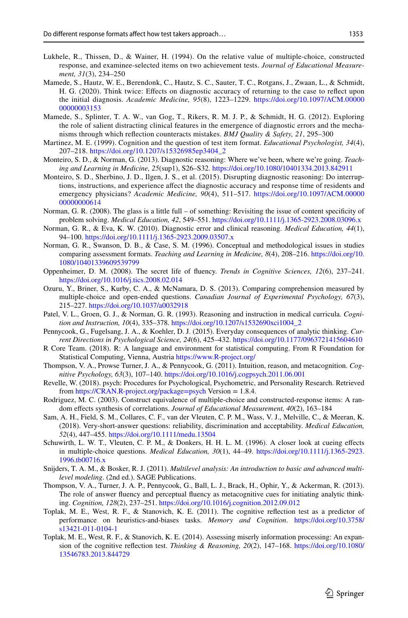- <span id="page-14-3"></span>Lukhele, R., Thissen, D., & Wainer, H. (1994). On the relative value of multiple-choice, constructed response, and examinee-selected items on two achievement tests. *Journal of Educational Measurement, 31*(3), 234–250
- <span id="page-14-18"></span>Mamede, S., Hautz, W. E., Berendonk, C., Hautz, S. C., Sauter, T. C., Rotgans, J., Zwaan, L., & Schmidt, H. G. (2020). Think twice: Efects on diagnostic accuracy of returning to the case to refect upon the initial diagnosis. *Academic Medicine, 95*(8), 1223–1229. [https://doi.org/10.1097/ACM.00000](https://doi.org/10.1097/ACM.0000000000003153) [00000003153](https://doi.org/10.1097/ACM.0000000000003153)
- <span id="page-14-17"></span>Mamede, S., Splinter, T. A. W., van Gog, T., Rikers, R. M. J. P., & Schmidt, H. G. (2012). Exploring the role of salient distracting clinical features in the emergence of diagnostic errors and the mechanisms through which refection counteracts mistakes. *BMJ Quality & Safety, 21*, 295–300
- <span id="page-14-5"></span>Martinez, M. E. (1999). Cognition and the question of test item format. *Educational Psychologist, 34*(4), 207–218. [https://doi.org/10.1207/s15326985ep3404\\_2](https://doi.org/10.1207/s15326985ep3404_2)
- <span id="page-14-8"></span>Monteiro, S. D., & Norman, G. (2013). Diagnostic reasoning: Where we've been, where we're going. *Teaching and Learning in Medicine, 25*(sup1), S26–S32. <https://doi.org/10.1080/10401334.2013.842911>
- <span id="page-14-9"></span>Monteiro, S. D., Sherbino, J. D., Ilgen, J. S., et al. (2015). Disrupting diagnostic reasoning: Do interruptions, instructions, and experience afect the diagnostic accuracy and response time of residents and emergency physicians? *Academic Medicine, 90*(4), 511–517. [https://doi.org/10.1097/ACM.00000](https://doi.org/10.1097/ACM.0000000000000614) [00000000614](https://doi.org/10.1097/ACM.0000000000000614)
- <span id="page-14-22"></span>Norman, G. R. (2008). The glass is a little full – of something: Revisiting the issue of content specifcity of problem solving. *Medical Education, 42*, 549–551. <https://doi.org/10.1111/j.1365-2923.2008.03096.x>
- <span id="page-14-11"></span>Norman, G. R., & Eva, K. W. (2010). Diagnostic error and clinical reasoning. *Medical Education, 44*(1), 94–100. <https://doi.org/10.1111/j.1365-2923.2009.03507.x>
- <span id="page-14-0"></span>Norman, G. R., Swanson, D. B., & Case, S. M. (1996). Conceptual and methodological issues in studies comparing assessment formats. *Teaching and Learning in Medicine, 8*(4), 208–216. [https://doi.org/10.](https://doi.org/10.1080/10401339609539799) [1080/10401339609539799](https://doi.org/10.1080/10401339609539799)
- <span id="page-14-12"></span>Oppenheimer, D. M. (2008). The secret life of fuency. *Trends in Cognitive Sciences, 12*(6), 237–241. <https://doi.org/10.1016/j.tics.2008.02.014>
- <span id="page-14-6"></span>Ozuru, Y., Briner, S., Kurby, C. A., & McNamara, D. S. (2013). Comparing comprehension measured by multiple-choice and open-ended questions. *Canadian Journal of Experimental Psychology, 67*(3), 215–227. <https://doi.org/10.1037/a0032918>
- <span id="page-14-7"></span>Patel, V. L., Groen, G. J., & Norman, G. R. (1993). Reasoning and instruction in medical curricula. *Cognition and Instruction, 10*(4), 335–378. [https://doi.org/10.1207/s1532690xci1004\\_2](https://doi.org/10.1207/s1532690xci1004_2)
- <span id="page-14-13"></span>Pennycook, G., Fugelsang, J. A., & Koehler, D. J. (2015). Everyday consequences of analytic thinking. *Current Directions in Psychological Science, 24*(6), 425–432.<https://doi.org/10.1177/0963721415604610>
- <span id="page-14-20"></span>R Core Team. (2018). R: A language and environment for statistical computing. From R Foundation for Statistical Computing, Vienna, Austria <https://www.R-project.org/>
- <span id="page-14-10"></span>Thompson, V. A., Prowse Turner, J. A., & Pennycook, G. (2011). Intuition, reason, and metacognition. *Cognitive Psychology, 63*(3), 107–140.<https://doi.org/10.1016/j.cogpsych.2011.06.001>
- <span id="page-14-21"></span>Revelle, W. (2018). psych: Procedures for Psychological, Psychometric, and Personality Research. Retrieved from<https://CRAN.R-project.org/package=psych> Version = 1.8.4.
- <span id="page-14-4"></span>Rodriguez, M. C. (2003). Construct equivalence of multiple-choice and constructed-response items: A random efects synthesis of correlations. *Journal of Educational Measurement, 40*(2), 163–184
- <span id="page-14-1"></span>Sam, A. H., Field, S. M., Collares, C. F., van der Vleuten, C. P. M., Wass, V. J., Melville, C., & Meeran, K. (2018). Very-short-answer questions: reliability, discrimination and acceptability. *Medical Education, 52*(4), 447–455.<https://doi.org/10.1111/medu.13504>
- <span id="page-14-2"></span>Schuwirth, L. W. T., Vleuten, C. P. M., & Donkers, H. H. L. M. (1996). A closer look at cueing efects in multiple-choice questions. *Medical Education, 30*(1), 44–49. [https://doi.org/10.1111/j.1365-2923.](https://doi.org/10.1111/j.1365-2923.1996.tb00716.x) [1996.tb00716.x](https://doi.org/10.1111/j.1365-2923.1996.tb00716.x)
- <span id="page-14-19"></span>Snijders, T. A. M., & Bosker, R. J. (2011). *Multilevel analysis: An introduction to basic and advanced multilevel modeling*. (2nd ed.). SAGE Publications.
- <span id="page-14-14"></span>Thompson, V. A., Turner, J. A. P., Pennycook, G., Ball, L. J., Brack, H., Ophir, Y., & Ackerman, R. (2013). The role of answer fuency and perceptual fuency as metacognitive cues for initiating analytic thinking. *Cognition, 128*(2), 237–251.<https://doi.org/10.1016/j.cognition.2012.09.012>
- <span id="page-14-16"></span>Toplak, M. E., West, R. F., & Stanovich, K. E. (2011). The cognitive refection test as a predictor of performance on heuristics-and-biases tasks. *Memory and Cognition*. [https://doi.org/10.3758/](https://doi.org/10.3758/s13421-011-0104-1) [s13421-011-0104-1](https://doi.org/10.3758/s13421-011-0104-1)
- <span id="page-14-15"></span>Toplak, M. E., West, R. F., & Stanovich, K. E. (2014). Assessing miserly information processing: An expansion of the cognitive refection test. *Thinking & Reasoning, 20*(2), 147–168. [https://doi.org/10.1080/](https://doi.org/10.1080/13546783.2013.844729) [13546783.2013.844729](https://doi.org/10.1080/13546783.2013.844729)